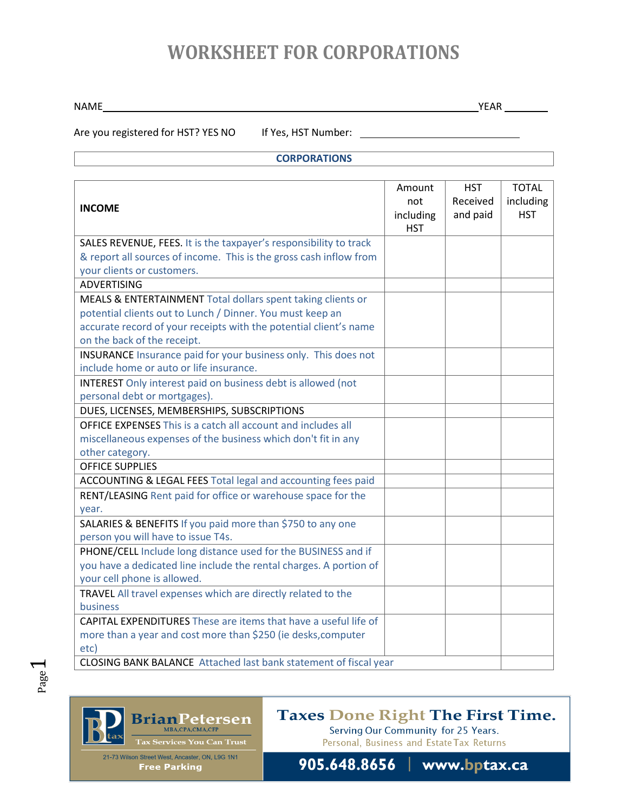## **WORKSHEET FOR CORPORATIONS**

NAME YEAR

Are you registered for HST? YES NO If Yes, HST Number: \_\_\_\_\_\_\_\_\_\_\_\_\_\_\_\_\_\_\_\_\_\_\_\_\_

### **CORPORATIONS**

| <b>INCOME</b>                                                          | Amount<br>not<br>including<br><b>HST</b> | <b>HST</b><br>Received<br>and paid | <b>TOTAL</b><br>including<br><b>HST</b> |
|------------------------------------------------------------------------|------------------------------------------|------------------------------------|-----------------------------------------|
| SALES REVENUE, FEES. It is the taxpayer's responsibility to track      |                                          |                                    |                                         |
| & report all sources of income. This is the gross cash inflow from     |                                          |                                    |                                         |
| your clients or customers.                                             |                                          |                                    |                                         |
| <b>ADVERTISING</b>                                                     |                                          |                                    |                                         |
| MEALS & ENTERTAINMENT Total dollars spent taking clients or            |                                          |                                    |                                         |
| potential clients out to Lunch / Dinner. You must keep an              |                                          |                                    |                                         |
| accurate record of your receipts with the potential client's name      |                                          |                                    |                                         |
| on the back of the receipt.                                            |                                          |                                    |                                         |
| INSURANCE Insurance paid for your business only. This does not         |                                          |                                    |                                         |
| include home or auto or life insurance.                                |                                          |                                    |                                         |
| <b>INTEREST</b> Only interest paid on business debt is allowed (not    |                                          |                                    |                                         |
| personal debt or mortgages).                                           |                                          |                                    |                                         |
| DUES, LICENSES, MEMBERSHIPS, SUBSCRIPTIONS                             |                                          |                                    |                                         |
| <b>OFFICE EXPENSES This is a catch all account and includes all</b>    |                                          |                                    |                                         |
| miscellaneous expenses of the business which don't fit in any          |                                          |                                    |                                         |
| other category.                                                        |                                          |                                    |                                         |
| <b>OFFICE SUPPLIES</b>                                                 |                                          |                                    |                                         |
| ACCOUNTING & LEGAL FEES Total legal and accounting fees paid           |                                          |                                    |                                         |
| RENT/LEASING Rent paid for office or warehouse space for the           |                                          |                                    |                                         |
| year.                                                                  |                                          |                                    |                                         |
| SALARIES & BENEFITS If you paid more than \$750 to any one             |                                          |                                    |                                         |
| person you will have to issue T4s.                                     |                                          |                                    |                                         |
| PHONE/CELL Include long distance used for the BUSINESS and if          |                                          |                                    |                                         |
| you have a dedicated line include the rental charges. A portion of     |                                          |                                    |                                         |
| your cell phone is allowed.                                            |                                          |                                    |                                         |
| TRAVEL All travel expenses which are directly related to the           |                                          |                                    |                                         |
| <b>business</b>                                                        |                                          |                                    |                                         |
| <b>CAPITAL EXPENDITURES</b> These are items that have a useful life of |                                          |                                    |                                         |
| more than a year and cost more than \$250 (ie desks, computer          |                                          |                                    |                                         |
| etc)                                                                   |                                          |                                    |                                         |
| CLOSING BANK BALANCE Attached last bank statement of fiscal year       |                                          |                                    |                                         |



### Taxes Done Right The First Time.

21-73 Wilson Street West, Ancaster, ON, L9G 1N1 **Free Parking** 

Serving Our Community for 25 Years. Personal, Business and Estate Tax Returns